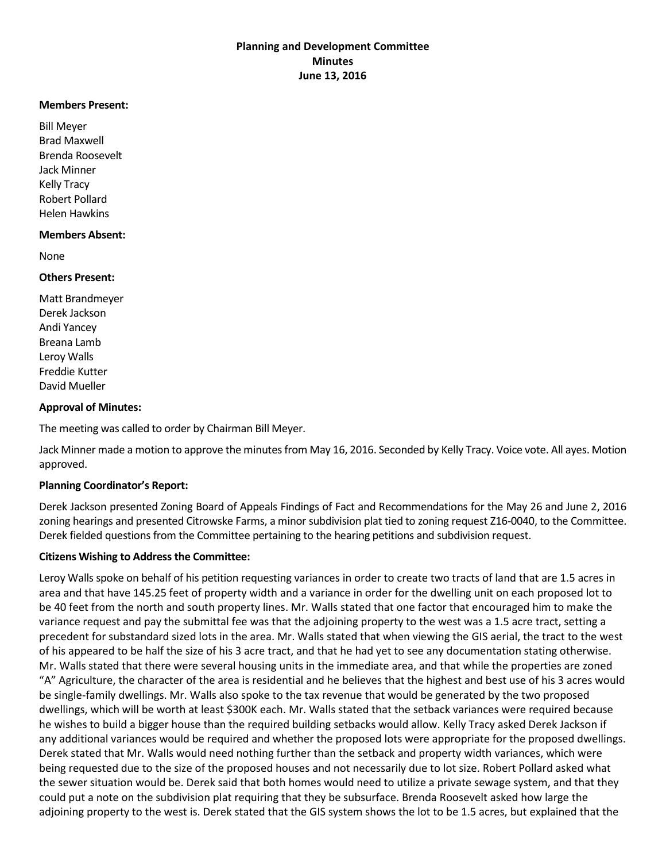# **Planning and Development Committee Minutes June 13, 2016**

#### **Members Present:**

Bill Meyer Brad Maxwell Brenda Roosevelt Jack Minner Kelly Tracy Robert Pollard Helen Hawkins

### **Members Absent:**

None

### **Others Present:**

Matt Brandmeyer Derek Jackson Andi Yancey Breana Lamb Leroy Walls Freddie Kutter David Mueller

### **Approval of Minutes:**

The meeting was called to order by Chairman Bill Meyer.

Jack Minner made a motion to approve the minutes from May 16, 2016. Seconded by Kelly Tracy. Voice vote. All ayes. Motion approved.

### **Planning Coordinator's Report:**

Derek Jackson presented Zoning Board of Appeals Findings of Fact and Recommendations for the May 26 and June 2, 2016 zoning hearings and presented Citrowske Farms, a minor subdivision plat tied to zoning request Z16-0040, to the Committee. Derek fielded questions from the Committee pertaining to the hearing petitions and subdivision request.

## **Citizens Wishing to Address the Committee:**

Leroy Walls spoke on behalf of his petition requesting variances in order to create two tracts of land that are 1.5 acres in area and that have 145.25 feet of property width and a variance in order for the dwelling unit on each proposed lot to be 40 feet from the north and south property lines. Mr. Walls stated that one factor that encouraged him to make the variance request and pay the submittal fee was that the adjoining property to the west was a 1.5 acre tract, setting a precedent for substandard sized lots in the area. Mr. Walls stated that when viewing the GIS aerial, the tract to the west of his appeared to be half the size of his 3 acre tract, and that he had yet to see any documentation stating otherwise. Mr. Walls stated that there were several housing units in the immediate area, and that while the properties are zoned "A" Agriculture, the character of the area is residential and he believes that the highest and best use of his 3 acres would be single-family dwellings. Mr. Walls also spoke to the tax revenue that would be generated by the two proposed dwellings, which will be worth at least \$300K each. Mr. Walls stated that the setback variances were required because he wishes to build a bigger house than the required building setbacks would allow. Kelly Tracy asked Derek Jackson if any additional variances would be required and whether the proposed lots were appropriate for the proposed dwellings. Derek stated that Mr. Walls would need nothing further than the setback and property width variances, which were being requested due to the size of the proposed houses and not necessarily due to lot size. Robert Pollard asked what the sewer situation would be. Derek said that both homes would need to utilize a private sewage system, and that they could put a note on the subdivision plat requiring that they be subsurface. Brenda Roosevelt asked how large the adjoining property to the west is. Derek stated that the GIS system shows the lot to be 1.5 acres, but explained that the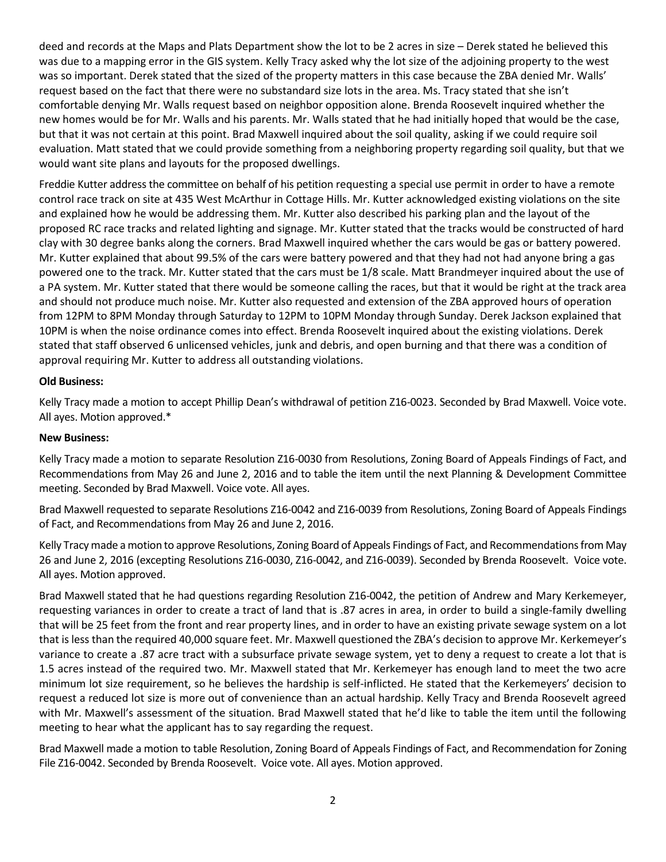deed and records at the Maps and Plats Department show the lot to be 2 acres in size – Derek stated he believed this was due to a mapping error in the GIS system. Kelly Tracy asked why the lot size of the adjoining property to the west was so important. Derek stated that the sized of the property matters in this case because the ZBA denied Mr. Walls' request based on the fact that there were no substandard size lots in the area. Ms. Tracy stated that she isn't comfortable denying Mr. Walls request based on neighbor opposition alone. Brenda Roosevelt inquired whether the new homes would be for Mr. Walls and his parents. Mr. Walls stated that he had initially hoped that would be the case, but that it was not certain at this point. Brad Maxwell inquired about the soil quality, asking if we could require soil evaluation. Matt stated that we could provide something from a neighboring property regarding soil quality, but that we would want site plans and layouts for the proposed dwellings.

Freddie Kutter address the committee on behalf of his petition requesting a special use permit in order to have a remote control race track on site at 435 West McArthur in Cottage Hills. Mr. Kutter acknowledged existing violations on the site and explained how he would be addressing them. Mr. Kutter also described his parking plan and the layout of the proposed RC race tracks and related lighting and signage. Mr. Kutter stated that the tracks would be constructed of hard clay with 30 degree banks along the corners. Brad Maxwell inquired whether the cars would be gas or battery powered. Mr. Kutter explained that about 99.5% of the cars were battery powered and that they had not had anyone bring a gas powered one to the track. Mr. Kutter stated that the cars must be 1/8 scale. Matt Brandmeyer inquired about the use of a PA system. Mr. Kutter stated that there would be someone calling the races, but that it would be right at the track area and should not produce much noise. Mr. Kutter also requested and extension of the ZBA approved hours of operation from 12PM to 8PM Monday through Saturday to 12PM to 10PM Monday through Sunday. Derek Jackson explained that 10PM is when the noise ordinance comes into effect. Brenda Roosevelt inquired about the existing violations. Derek stated that staff observed 6 unlicensed vehicles, junk and debris, and open burning and that there was a condition of approval requiring Mr. Kutter to address all outstanding violations.

### **Old Business:**

Kelly Tracy made a motion to accept Phillip Dean's withdrawal of petition Z16-0023. Seconded by Brad Maxwell. Voice vote. All ayes. Motion approved.\*

#### **New Business:**

Kelly Tracy made a motion to separate Resolution Z16-0030 from Resolutions, Zoning Board of Appeals Findings of Fact, and Recommendations from May 26 and June 2, 2016 and to table the item until the next Planning & Development Committee meeting. Seconded by Brad Maxwell. Voice vote. All ayes.

Brad Maxwell requested to separate Resolutions Z16-0042 and Z16-0039 from Resolutions, Zoning Board of Appeals Findings of Fact, and Recommendations from May 26 and June 2, 2016.

Kelly Tracymade a motion to approve Resolutions, Zoning Board of Appeals Findings of Fact, and Recommendations from May 26 and June 2, 2016 (excepting Resolutions Z16-0030, Z16-0042, and Z16-0039). Seconded by Brenda Roosevelt. Voice vote. All ayes. Motion approved.

Brad Maxwell stated that he had questions regarding Resolution Z16-0042, the petition of Andrew and Mary Kerkemeyer, requesting variances in order to create a tract of land that is .87 acres in area, in order to build a single-family dwelling that will be 25 feet from the front and rear property lines, and in order to have an existing private sewage system on a lot that is less than the required 40,000 square feet. Mr. Maxwell questioned the ZBA's decision to approve Mr. Kerkemeyer's variance to create a .87 acre tract with a subsurface private sewage system, yet to deny a request to create a lot that is 1.5 acres instead of the required two. Mr. Maxwell stated that Mr. Kerkemeyer has enough land to meet the two acre minimum lot size requirement, so he believes the hardship is self-inflicted. He stated that the Kerkemeyers' decision to request a reduced lot size is more out of convenience than an actual hardship. Kelly Tracy and Brenda Roosevelt agreed with Mr. Maxwell's assessment of the situation. Brad Maxwell stated that he'd like to table the item until the following meeting to hear what the applicant has to say regarding the request.

Brad Maxwell made a motion to table Resolution, Zoning Board of Appeals Findings of Fact, and Recommendation for Zoning File Z16-0042. Seconded by Brenda Roosevelt. Voice vote. All ayes. Motion approved.